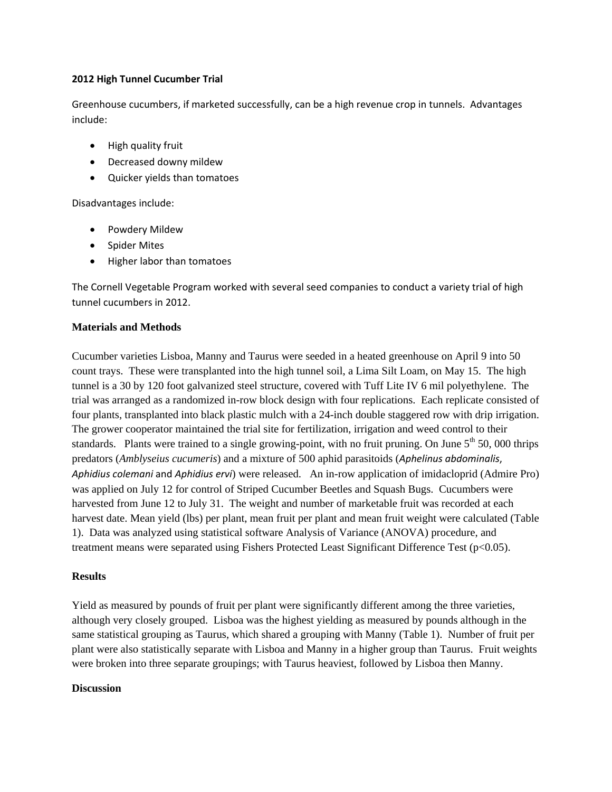## **2012 High Tunnel Cucumber Trial**

Greenhouse cucumbers, if marketed successfully, can be a high revenue crop in tunnels. Advantages include:

- High quality fruit
- Decreased downy mildew
- Quicker yields than tomatoes

Disadvantages include:

- Powdery Mildew
- Spider Mites
- Higher labor than tomatoes

The Cornell Vegetable Program worked with several seed companies to conduct a variety trial of high tunnel cucumbers in 2012.

# **Materials and Methods**

Cucumber varieties Lisboa, Manny and Taurus were seeded in a heated greenhouse on April 9 into 50 count trays. These were transplanted into the high tunnel soil, a Lima Silt Loam, on May 15. The high tunnel is a 30 by 120 foot galvanized steel structure, covered with Tuff Lite IV 6 mil polyethylene. The trial was arranged as a randomized in-row block design with four replications. Each replicate consisted of four plants, transplanted into black plastic mulch with a 24-inch double staggered row with drip irrigation. The grower cooperator maintained the trial site for fertilization, irrigation and weed control to their standards. Plants were trained to a single growing-point, with no fruit pruning. On June  $5<sup>th</sup> 50$ , 000 thrips predators (*Amblyseius cucumeris*) and a mixture of 500 aphid parasitoids (*Aphelinus abdominalis*, *Aphidius colemani* and *Aphidius ervi*) were released. An in-row application of imidacloprid (Admire Pro) was applied on July 12 for control of Striped Cucumber Beetles and Squash Bugs. Cucumbers were harvested from June 12 to July 31. The weight and number of marketable fruit was recorded at each harvest date. Mean yield (lbs) per plant, mean fruit per plant and mean fruit weight were calculated (Table 1). Data was analyzed using statistical software Analysis of Variance (ANOVA) procedure, and treatment means were separated using Fishers Protected Least Significant Difference Test (p<0.05).

## **Results**

Yield as measured by pounds of fruit per plant were significantly different among the three varieties, although very closely grouped. Lisboa was the highest yielding as measured by pounds although in the same statistical grouping as Taurus, which shared a grouping with Manny (Table 1). Number of fruit per plant were also statistically separate with Lisboa and Manny in a higher group than Taurus. Fruit weights were broken into three separate groupings; with Taurus heaviest, followed by Lisboa then Manny.

## **Discussion**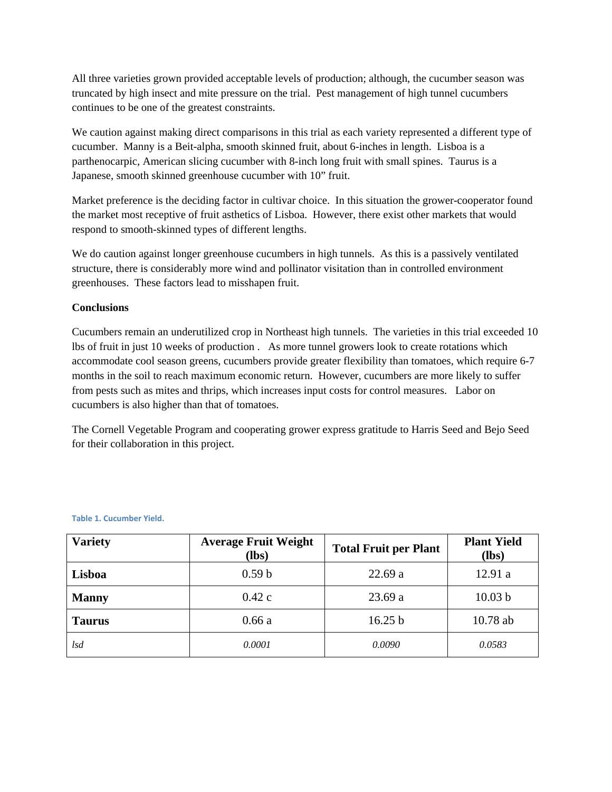All three varieties grown provided acceptable levels of production; although, the cucumber season was truncated by high insect and mite pressure on the trial. Pest management of high tunnel cucumbers continues to be one of the greatest constraints.

We caution against making direct comparisons in this trial as each variety represented a different type of cucumber. Manny is a Beit-alpha, smooth skinned fruit, about 6-inches in length. Lisboa is a parthenocarpic, American slicing cucumber with 8-inch long fruit with small spines. Taurus is a Japanese, smooth skinned greenhouse cucumber with 10" fruit.

Market preference is the deciding factor in cultivar choice. In this situation the grower-cooperator found the market most receptive of fruit asthetics of Lisboa. However, there exist other markets that would respond to smooth-skinned types of different lengths.

We do caution against longer greenhouse cucumbers in high tunnels. As this is a passively ventilated structure, there is considerably more wind and pollinator visitation than in controlled environment greenhouses. These factors lead to misshapen fruit.

## **Conclusions**

Cucumbers remain an underutilized crop in Northeast high tunnels. The varieties in this trial exceeded 10 lbs of fruit in just 10 weeks of production . As more tunnel growers look to create rotations which accommodate cool season greens, cucumbers provide greater flexibility than tomatoes, which require 6-7 months in the soil to reach maximum economic return. However, cucumbers are more likely to suffer from pests such as mites and thrips, which increases input costs for control measures. Labor on cucumbers is also higher than that of tomatoes.

The Cornell Vegetable Program and cooperating grower express gratitude to Harris Seed and Bejo Seed for their collaboration in this project.

| <b>Variety</b> | <b>Average Fruit Weight</b><br>(lbs) | <b>Total Fruit per Plant</b> | <b>Plant Yield</b><br>$(lbs)$ |
|----------------|--------------------------------------|------------------------------|-------------------------------|
| Lisboa         | 0.59 <sub>b</sub>                    | 22.69a                       | 12.91 a                       |
| <b>Manny</b>   | 0.42c                                | 23.69a                       | 10.03 b                       |
| <b>Taurus</b>  | 0.66a                                | 16.25 b                      | $10.78$ ab                    |
| lsd            | 0.0001                               | 0.0090                       | 0.0583                        |

**Table 1. Cucumber Yield.**